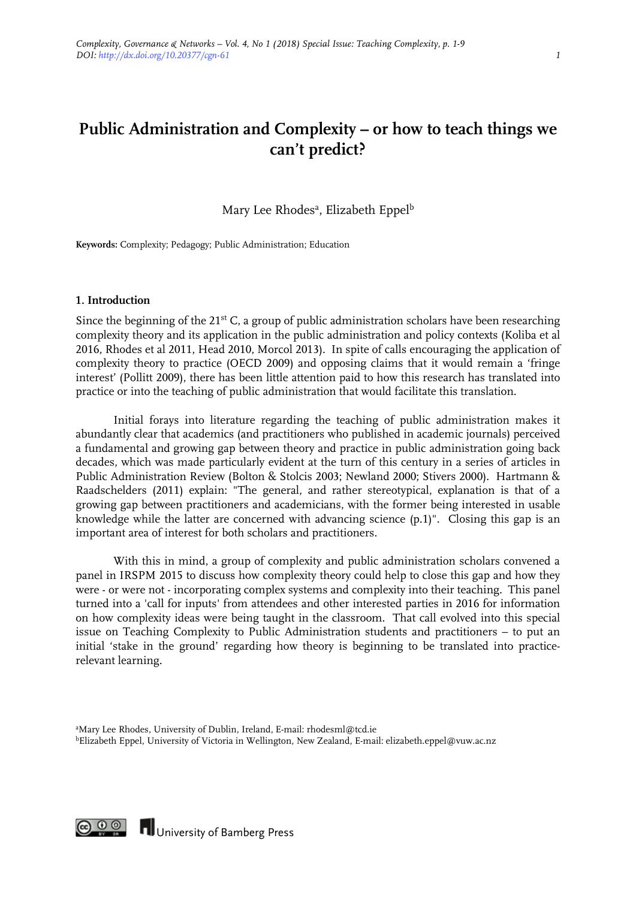# **Public Administration and Complexity – or how to teach things we can't predict?**

Mary Lee Rhodes<sup>a</sup>, Elizabeth Eppel<sup>b</sup>

**Keywords:** Complexity; Pedagogy; Public Administration; Education

#### **1. Introduction**

Since the beginning of the 21<sup>st</sup> C, a group of public administration scholars have been researching complexity theory and its application in the public administration and policy contexts (Koliba et al 2016, Rhodes et al 2011, Head 2010, Morcol 2013). In spite of calls encouraging the application of complexity theory to practice (OECD 2009) and opposing claims that it would remain a 'fringe interest' (Pollitt 2009), there has been little attention paid to how this research has translated into practice or into the teaching of public administration that would facilitate this translation.

Initial forays into literature regarding the teaching of public administration makes it abundantly clear that academics (and practitioners who published in academic journals) perceived a fundamental and growing gap between theory and practice in public administration going back decades, which was made particularly evident at the turn of this century in a series of articles in Public Administration Review (Bolton & Stolcis 2003; Newland 2000; Stivers 2000). Hartmann & Raadschelders (2011) explain: "The general, and rather stereotypical, explanation is that of a growing gap between practitioners and academicians, with the former being interested in usable knowledge while the latter are concerned with advancing science (p.1)". Closing this gap is an important area of interest for both scholars and practitioners.

With this in mind, a group of complexity and public administration scholars convened a panel in IRSPM 2015 to discuss how complexity theory could help to close this gap and how they were - or were not - incorporating complex systems and complexity into their teaching. This panel turned into a 'call for inputs' from attendees and other interested parties in 2016 for information on how complexity ideas were being taught in the classroom. That call evolved into this special issue on Teaching Complexity to Public Administration students and practitioners – to put an initial 'stake in the ground' regarding how theory is beginning to be translated into practicerelevant learning.



**CO O O IN** University of Bamberg Press

a Mary Lee Rhodes, University of Dublin, Ireland, E-mail: [rhodesml@tcd.ie](mailto:rhodesml@tcd.ie) bElizabeth Eppel, University of Victoria in Wellington, New Zealand, E-mail: elizabeth.eppel@vuw.ac.nz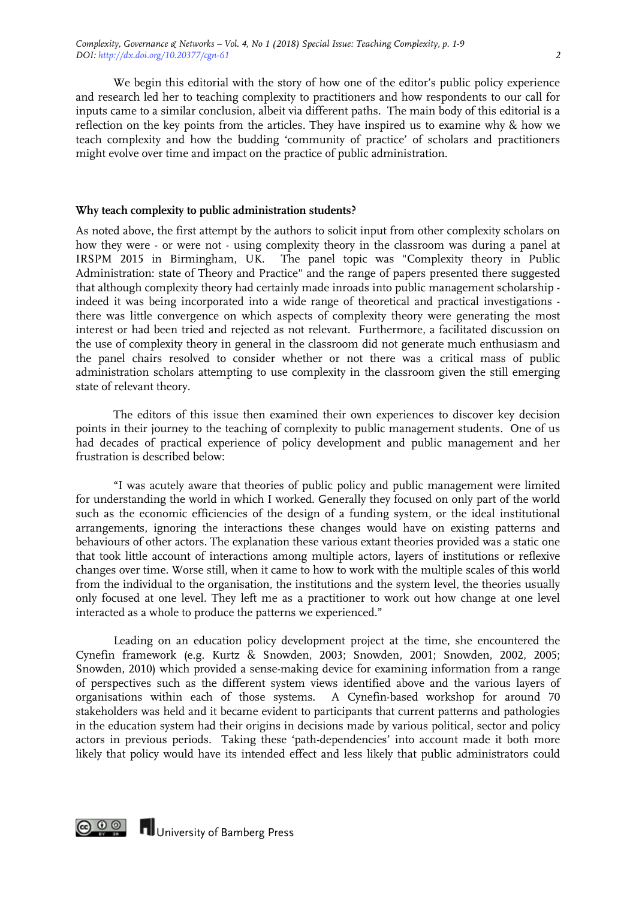We begin this editorial with the story of how one of the editor's public policy experience and research led her to teaching complexity to practitioners and how respondents to our call for inputs came to a similar conclusion, albeit via different paths. The main body of this editorial is a reflection on the key points from the articles. They have inspired us to examine why & how we teach complexity and how the budding 'community of practice' of scholars and practitioners might evolve over time and impact on the practice of public administration.

### **Why teach complexity to public administration students?**

As noted above, the first attempt by the authors to solicit input from other complexity scholars on how they were - or were not - using complexity theory in the classroom was during a panel at IRSPM 2015 in Birmingham, UK. The panel topic was "Complexity theory in Public Administration: state of Theory and Practice" and the range of papers presented there suggested that although complexity theory had certainly made inroads into public management scholarship indeed it was being incorporated into a wide range of theoretical and practical investigations there was little convergence on which aspects of complexity theory were generating the most interest or had been tried and rejected as not relevant. Furthermore, a facilitated discussion on the use of complexity theory in general in the classroom did not generate much enthusiasm and the panel chairs resolved to consider whether or not there was a critical mass of public administration scholars attempting to use complexity in the classroom given the still emerging state of relevant theory.

The editors of this issue then examined their own experiences to discover key decision points in their journey to the teaching of complexity to public management students. One of us had decades of practical experience of policy development and public management and her frustration is described below:

"I was acutely aware that theories of public policy and public management were limited for understanding the world in which I worked. Generally they focused on only part of the world such as the economic efficiencies of the design of a funding system, or the ideal institutional arrangements, ignoring the interactions these changes would have on existing patterns and behaviours of other actors. The explanation these various extant theories provided was a static one that took little account of interactions among multiple actors, layers of institutions or reflexive changes over time. Worse still, when it came to how to work with the multiple scales of this world from the individual to the organisation, the institutions and the system level, the theories usually only focused at one level. They left me as a practitioner to work out how change at one level interacted as a whole to produce the patterns we experienced."

Leading on an education policy development project at the time, she encountered the Cynefin framework (e.g. Kurtz & Snowden, 2003; Snowden, 2001; Snowden, 2002, 2005; Snowden, 2010) which provided a sense-making device for examining information from a range of perspectives such as the different system views identified above and the various layers of organisations within each of those systems. A Cynefin-based workshop for around 70 stakeholders was held and it became evident to participants that current patterns and pathologies in the education system had their origins in decisions made by various political, sector and policy actors in previous periods. Taking these 'path-dependencies' into account made it both more likely that policy would have its intended effect and less likely that public administrators could

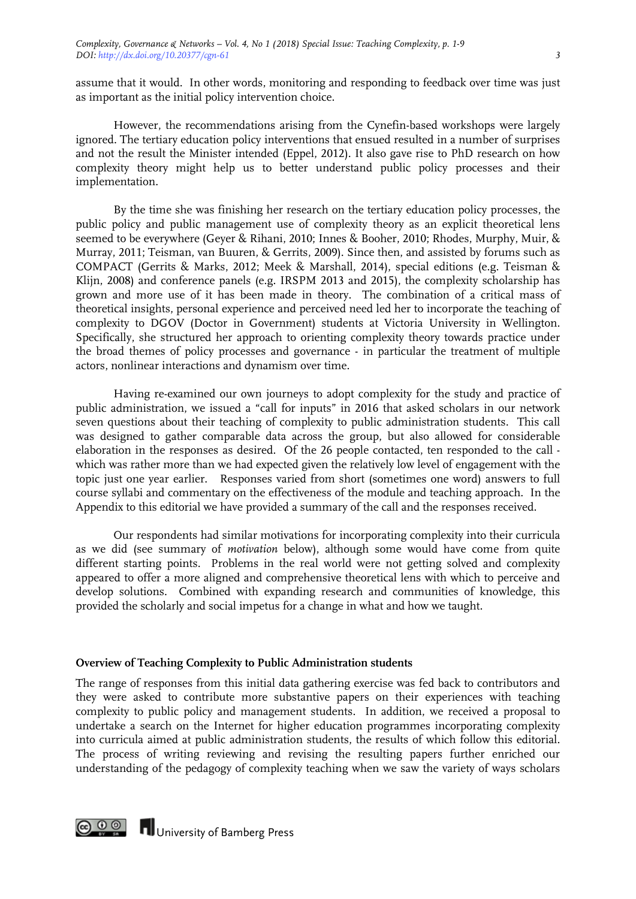assume that it would. In other words, monitoring and responding to feedback over time was just as important as the initial policy intervention choice.

However, the recommendations arising from the Cynefin-based workshops were largely ignored. The tertiary education policy interventions that ensued resulted in a number of surprises and not the result the Minister intended (Eppel, 2012). It also gave rise to PhD research on how complexity theory might help us to better understand public policy processes and their implementation.

By the time she was finishing her research on the tertiary education policy processes, the public policy and public management use of complexity theory as an explicit theoretical lens seemed to be everywhere (Geyer & Rihani, 2010; Innes & Booher, 2010; Rhodes, Murphy, Muir, & Murray, 2011; Teisman, van Buuren, & Gerrits, 2009). Since then, and assisted by forums such as COMPACT (Gerrits & Marks, 2012; Meek & Marshall, 2014), special editions (e.g. Teisman & Klijn, 2008) and conference panels (e.g. IRSPM 2013 and 2015), the complexity scholarship has grown and more use of it has been made in theory. The combination of a critical mass of theoretical insights, personal experience and perceived need led her to incorporate the teaching of complexity to DGOV (Doctor in Government) students at Victoria University in Wellington. Specifically, she structured her approach to orienting complexity theory towards practice under the broad themes of policy processes and governance - in particular the treatment of multiple actors, nonlinear interactions and dynamism over time.

Having re-examined our own journeys to adopt complexity for the study and practice of public administration, we issued a "call for inputs" in 2016 that asked scholars in our network seven questions about their teaching of complexity to public administration students. This call was designed to gather comparable data across the group, but also allowed for considerable elaboration in the responses as desired. Of the 26 people contacted, ten responded to the call which was rather more than we had expected given the relatively low level of engagement with the topic just one year earlier. Responses varied from short (sometimes one word) answers to full course syllabi and commentary on the effectiveness of the module and teaching approach. In the Appendix to this editorial we have provided a summary of the call and the responses received.

Our respondents had similar motivations for incorporating complexity into their curricula as we did (see summary of *motivation* below), although some would have come from quite different starting points. Problems in the real world were not getting solved and complexity appeared to offer a more aligned and comprehensive theoretical lens with which to perceive and develop solutions. Combined with expanding research and communities of knowledge, this provided the scholarly and social impetus for a change in what and how we taught.

## **Overview of Teaching Complexity to Public Administration students**

The range of responses from this initial data gathering exercise was fed back to contributors and they were asked to contribute more substantive papers on their experiences with teaching complexity to public policy and management students. In addition, we received a proposal to undertake a search on the Internet for higher education programmes incorporating complexity into curricula aimed at public administration students, the results of which follow this editorial. The process of writing reviewing and revising the resulting papers further enriched our understanding of the pedagogy of complexity teaching when we saw the variety of ways scholars

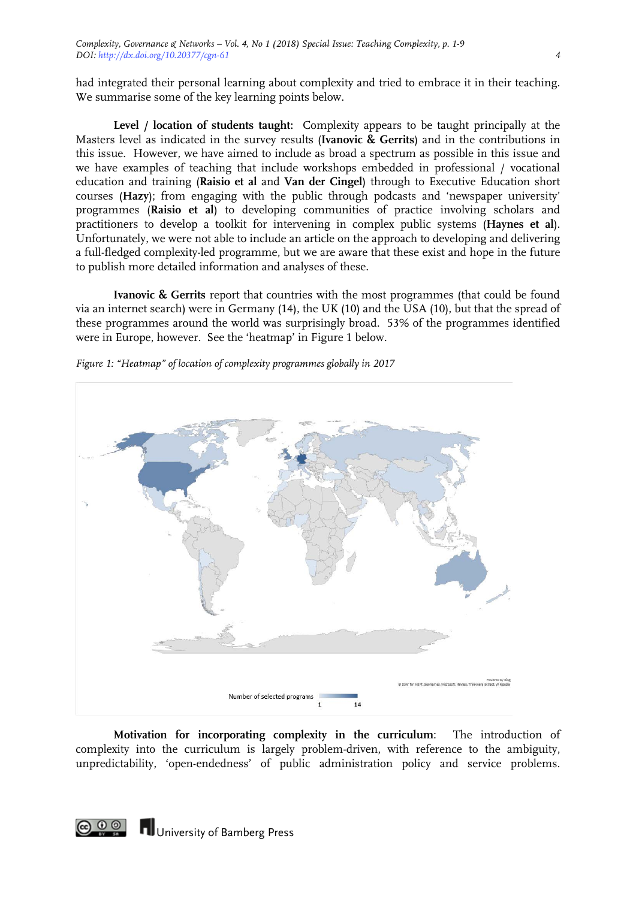had integrated their personal learning about complexity and tried to embrace it in their teaching. We summarise some of the key learning points below.

**Level / location of students taught:** Complexity appears to be taught principally at the Masters level as indicated in the survey results (**Ivanovic & Gerrits**) and in the contributions in this issue. However, we have aimed to include as broad a spectrum as possible in this issue and we have examples of teaching that include workshops embedded in professional / vocational education and training (**Raisio et al** and **Van der Cingel**) through to Executive Education short courses (**Hazy**); from engaging with the public through podcasts and 'newspaper university' programmes (**Raisio et al**) to developing communities of practice involving scholars and practitioners to develop a toolkit for intervening in complex public systems (**Haynes et al**). Unfortunately, we were not able to include an article on the approach to developing and delivering a full-fledged complexity-led programme, but we are aware that these exist and hope in the future to publish more detailed information and analyses of these.

**Ivanovic & Gerrits** report that countries with the most programmes (that could be found via an internet search) were in Germany (14), the UK (10) and the USA (10), but that the spread of these programmes around the world was surprisingly broad. 53% of the programmes identified were in Europe, however. See the 'heatmap' in Figure 1 below.



*Figure 1: "Heatmap" of location of complexity programmes globally in 2017*

**Motivation for incorporating complexity in the curriculum**: The introduction of complexity into the curriculum is largely problem-driven, with reference to the ambiguity, unpredictability, 'open-endedness' of public administration policy and service problems.

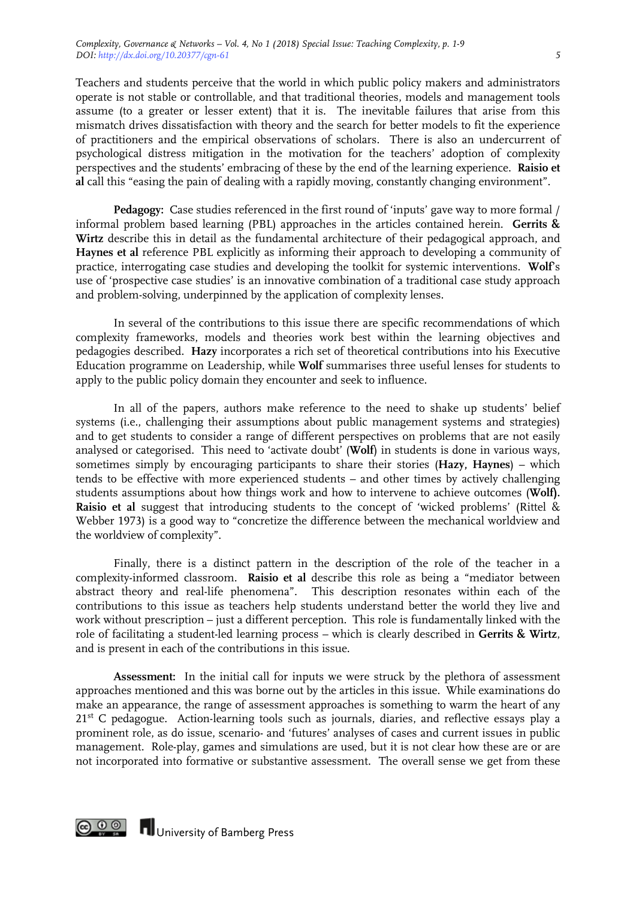Teachers and students perceive that the world in which public policy makers and administrators operate is not stable or controllable, and that traditional theories, models and management tools assume (to a greater or lesser extent) that it is. The inevitable failures that arise from this mismatch drives dissatisfaction with theory and the search for better models to fit the experience of practitioners and the empirical observations of scholars. There is also an undercurrent of psychological distress mitigation in the motivation for the teachers' adoption of complexity perspectives and the students' embracing of these by the end of the learning experience. **Raisio et al** call this "easing the pain of dealing with a rapidly moving, constantly changing environment".

Pedagogy: Case studies referenced in the first round of 'inputs' gave way to more formal / informal problem based learning (PBL) approaches in the articles contained herein. **Gerrits & Wirtz** describe this in detail as the fundamental architecture of their pedagogical approach, and **Haynes et al** reference PBL explicitly as informing their approach to developing a community of practice, interrogating case studies and developing the toolkit for systemic interventions. **Wolf**'s use of 'prospective case studies' is an innovative combination of a traditional case study approach and problem-solving, underpinned by the application of complexity lenses.

In several of the contributions to this issue there are specific recommendations of which complexity frameworks, models and theories work best within the learning objectives and pedagogies described. **Hazy** incorporates a rich set of theoretical contributions into his Executive Education programme on Leadership, while **Wolf** summarises three useful lenses for students to apply to the public policy domain they encounter and seek to influence.

In all of the papers, authors make reference to the need to shake up students' belief systems (i.e., challenging their assumptions about public management systems and strategies) and to get students to consider a range of different perspectives on problems that are not easily analysed or categorised. This need to 'activate doubt' (**Wolf**) in students is done in various ways, sometimes simply by encouraging participants to share their stories (**Hazy, Haynes**) – which tends to be effective with more experienced students – and other times by actively challenging students assumptions about how things work and how to intervene to achieve outcomes (**Wolf). Raisio et al** suggest that introducing students to the concept of 'wicked problems' (Rittel & Webber 1973) is a good way to "concretize the difference between the mechanical worldview and the worldview of complexity".

Finally, there is a distinct pattern in the description of the role of the teacher in a complexity-informed classroom. **Raisio et al** describe this role as being a "mediator between abstract theory and real-life phenomena". This description resonates within each of the contributions to this issue as teachers help students understand better the world they live and work without prescription – just a different perception. This role is fundamentally linked with the role of facilitating a student-led learning process – which is clearly described in **Gerrits & Wirtz**, and is present in each of the contributions in this issue.

**Assessment:** In the initial call for inputs we were struck by the plethora of assessment approaches mentioned and this was borne out by the articles in this issue. While examinations do make an appearance, the range of assessment approaches is something to warm the heart of any 21<sup>st</sup> C pedagogue. Action-learning tools such as journals, diaries, and reflective essays play a prominent role, as do issue, scenario- and 'futures' analyses of cases and current issues in public management. Role-play, games and simulations are used, but it is not clear how these are or are not incorporated into formative or substantive assessment. The overall sense we get from these



**TH** University of Bamberg Press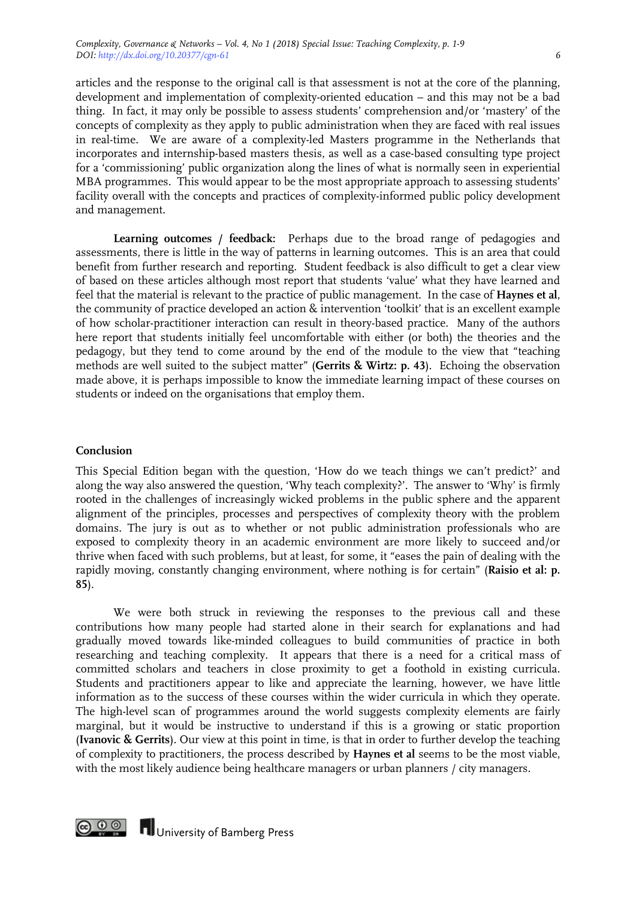articles and the response to the original call is that assessment is not at the core of the planning, development and implementation of complexity-oriented education – and this may not be a bad thing. In fact, it may only be possible to assess students' comprehension and/or 'mastery' of the concepts of complexity as they apply to public administration when they are faced with real issues in real-time. We are aware of a complexity-led Masters programme in the Netherlands that incorporates and internship-based masters thesis, as well as a case-based consulting type project for a 'commissioning' public organization along the lines of what is normally seen in experiential MBA programmes. This would appear to be the most appropriate approach to assessing students' facility overall with the concepts and practices of complexity-informed public policy development and management.

**Learning outcomes / feedback:** Perhaps due to the broad range of pedagogies and assessments, there is little in the way of patterns in learning outcomes. This is an area that could benefit from further research and reporting. Student feedback is also difficult to get a clear view of based on these articles although most report that students 'value' what they have learned and feel that the material is relevant to the practice of public management. In the case of **Haynes et al**, the community of practice developed an action & intervention 'toolkit' that is an excellent example of how scholar-practitioner interaction can result in theory-based practice. Many of the authors here report that students initially feel uncomfortable with either (or both) the theories and the pedagogy, but they tend to come around by the end of the module to the view that "teaching methods are well suited to the subject matter" (**Gerrits & Wirtz: p. 43**). Echoing the observation made above, it is perhaps impossible to know the immediate learning impact of these courses on students or indeed on the organisations that employ them.

#### **Conclusion**

This Special Edition began with the question, 'How do we teach things we can't predict?' and along the way also answered the question, 'Why teach complexity?'. The answer to 'Why' is firmly rooted in the challenges of increasingly wicked problems in the public sphere and the apparent alignment of the principles, processes and perspectives of complexity theory with the problem domains. The jury is out as to whether or not public administration professionals who are exposed to complexity theory in an academic environment are more likely to succeed and/or thrive when faced with such problems, but at least, for some, it "eases the pain of dealing with the rapidly moving, constantly changing environment, where nothing is for certain" (**Raisio et al: p. 85**).

We were both struck in reviewing the responses to the previous call and these contributions how many people had started alone in their search for explanations and had gradually moved towards like-minded colleagues to build communities of practice in both researching and teaching complexity. It appears that there is a need for a critical mass of committed scholars and teachers in close proximity to get a foothold in existing curricula. Students and practitioners appear to like and appreciate the learning, however, we have little information as to the success of these courses within the wider curricula in which they operate. The high-level scan of programmes around the world suggests complexity elements are fairly marginal, but it would be instructive to understand if this is a growing or static proportion (**Ivanovic & Gerrits**). Our view at this point in time, is that in order to further develop the teaching of complexity to practitioners, the process described by **Haynes et al** seems to be the most viable, with the most likely audience being healthcare managers or urban planners / city managers.

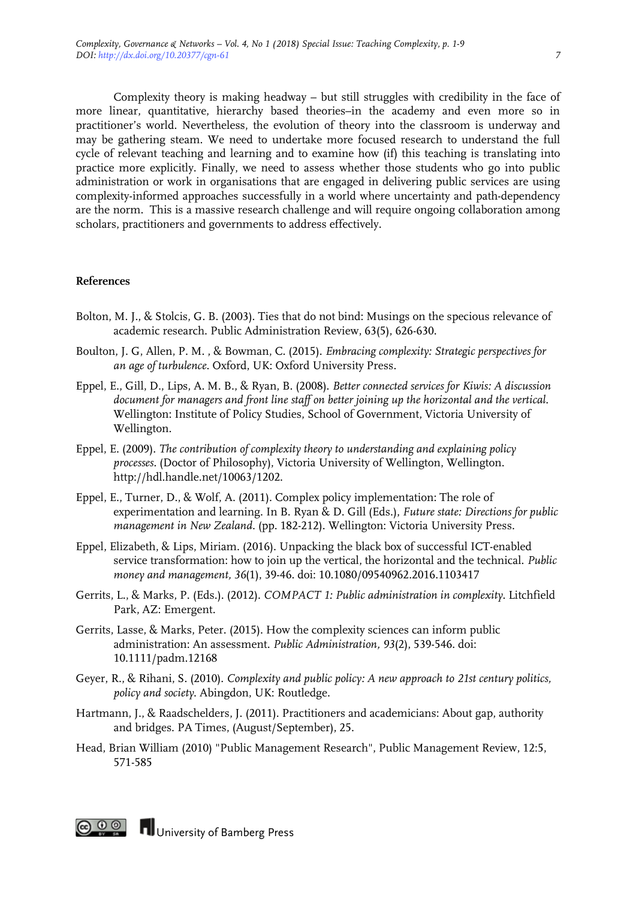Complexity theory is making headway – but still struggles with credibility in the face of more linear, quantitative, hierarchy based theories–in the academy and even more so in practitioner's world. Nevertheless, the evolution of theory into the classroom is underway and may be gathering steam. We need to undertake more focused research to understand the full cycle of relevant teaching and learning and to examine how (if) this teaching is translating into practice more explicitly. Finally, we need to assess whether those students who go into public administration or work in organisations that are engaged in delivering public services are using complexity-informed approaches successfully in a world where uncertainty and path-dependency are the norm. This is a massive research challenge and will require ongoing collaboration among scholars, practitioners and governments to address effectively.

#### **References**

- Bolton, M. J., & Stolcis, G. B. (2003). Ties that do not bind: Musings on the specious relevance of academic research. Public Administration Review, 63(5), 626-630.
- Boulton, J. G, Allen, P. M. , & Bowman, C. (2015). *Embracing complexity: Strategic perspectives for an age of turbulence*. Oxford, UK: Oxford University Press.
- Eppel, E., Gill, D., Lips, A. M. B., & Ryan, B. (2008). *Better connected services for Kiwis: A discussion document for managers and front line staff on better joining up the horizontal and the vertical*. Wellington: Institute of Policy Studies, School of Government, Victoria University of Wellington.
- Eppel, E. (2009). *The contribution of complexity theory to understanding and explaining policy processes.* (Doctor of Philosophy), Victoria University of Wellington, Wellington. http://hdl.handle.net/10063/1202.
- Eppel, E., Turner, D., & Wolf, A. (2011). Complex policy implementation: The role of experimentation and learning. In B. Ryan & D. Gill (Eds.), *Future state: Directions for public management in New Zealand*. (pp. 182-212). Wellington: Victoria University Press.
- Eppel, Elizabeth, & Lips, Miriam. (2016). Unpacking the black box of successful ICT-enabled service transformation: how to join up the vertical, the horizontal and the technical. *Public money and management, 36*(1), 39-46. doi: 10.1080/09540962.2016.1103417
- Gerrits, L., & Marks, P. (Eds.). (2012). *COMPACT 1: Public administration in complexity*. Litchfield Park, AZ: Emergent.
- Gerrits, Lasse, & Marks, Peter. (2015). How the complexity sciences can inform public administration: An assessment. *Public Administration, 93*(2), 539-546. doi: 10.1111/padm.12168
- Geyer, R., & Rihani, S. (2010). *Complexity and public policy: A new approach to 21st century politics, policy and society*. Abingdon, UK: Routledge.
- Hartmann, J., & Raadschelders, J. (2011). Practitioners and academicians: About gap, authority and bridges. PA Times, (August/September), 25.
- Head, Brian William (2010) "Public Management Research", Public Management Review, 12:5, 571-585



**COOO** University of Bamberg Press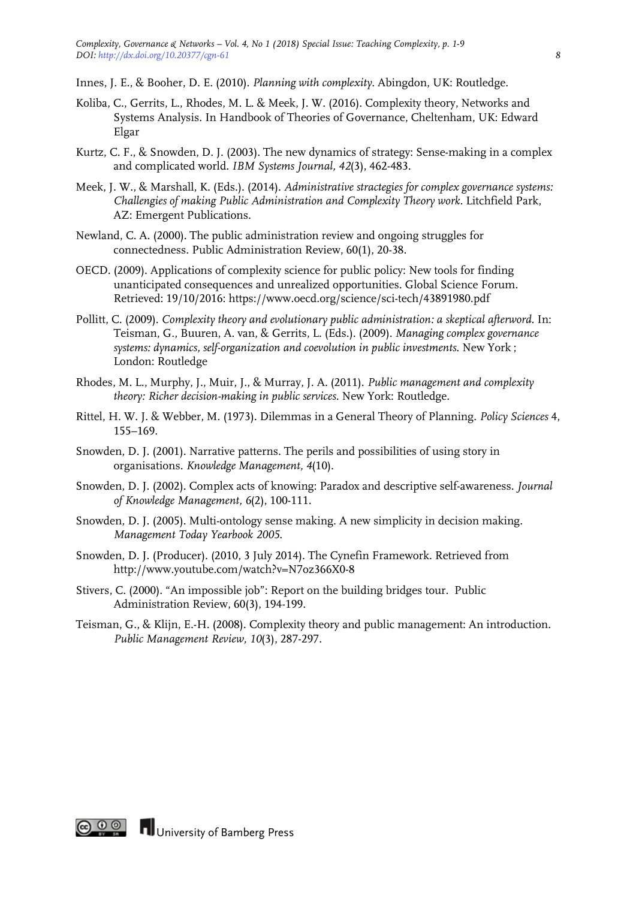Innes, J. E., & Booher, D. E. (2010). *Planning with complexity*. Abingdon, UK: Routledge.

- Koliba, C., Gerrits, L., Rhodes, M. L. & Meek, J. W. (2016). Complexity theory, Networks and Systems Analysis. In Handbook of Theories of Governance, Cheltenham, UK: Edward Elgar
- Kurtz, C. F., & Snowden, D. J. (2003). The new dynamics of strategy: Sense-making in a complex and complicated world. *IBM Systems Journal, 42*(3), 462-483.
- Meek, J. W., & Marshall, K. (Eds.). (2014). *Administrative stractegies for complex governance systems: Challengies of making Public Administration and Complexity Theory work*. Litchfield Park, AZ: Emergent Publications.
- Newland, C. A. (2000). The public administration review and ongoing struggles for connectedness. Public Administration Review, 60(1), 20-38.
- OECD. (2009). Applications of complexity science for public policy: New tools for finding unanticipated consequences and unrealized opportunities. Global Science Forum. Retrieved: 19/10/2016: https://www.oecd.org/science/sci-tech/43891980.pdf
- Pollitt, C. (2009). *Complexity theory and evolutionary public administration: a skeptical afterword*. In: Teisman, G., Buuren, A. van, & Gerrits, L. (Eds.). (2009). *Managing complex governance systems: dynamics, self-organization and coevolution in public investments*. New York ; London: Routledge
- Rhodes, M. L., Murphy, J., Muir, J., & Murray, J. A. (2011). *Public management and complexity theory: Richer decision-making in public services*. New York: Routledge.
- Rittel, H. W. J. & Webber, M. (1973). Dilemmas in a General Theory of Planning. *Policy Sciences* 4, 155–169.
- Snowden, D. J. (2001). Narrative patterns. The perils and possibilities of using story in organisations. *Knowledge Management, 4*(10).
- Snowden, D. J. (2002). Complex acts of knowing: Paradox and descriptive self-awareness. *Journal of Knowledge Management, 6*(2), 100-111.
- Snowden, D. J. (2005). Multi-ontology sense making. A new simplicity in decision making. *Management Today Yearbook 2005*.
- Snowden, D. J. (Producer). (2010, 3 July 2014). The Cynefin Framework. Retrieved from http://www.youtube.com/watch?v=N7oz366X0-8
- Stivers, C. (2000). "An impossible job": Report on the building bridges tour. Public Administration Review, 60(3), 194-199.
- Teisman, G., & Klijn, E.-H. (2008). Complexity theory and public management: An introduction. *Public Management Review, 10*(3), 287-297.